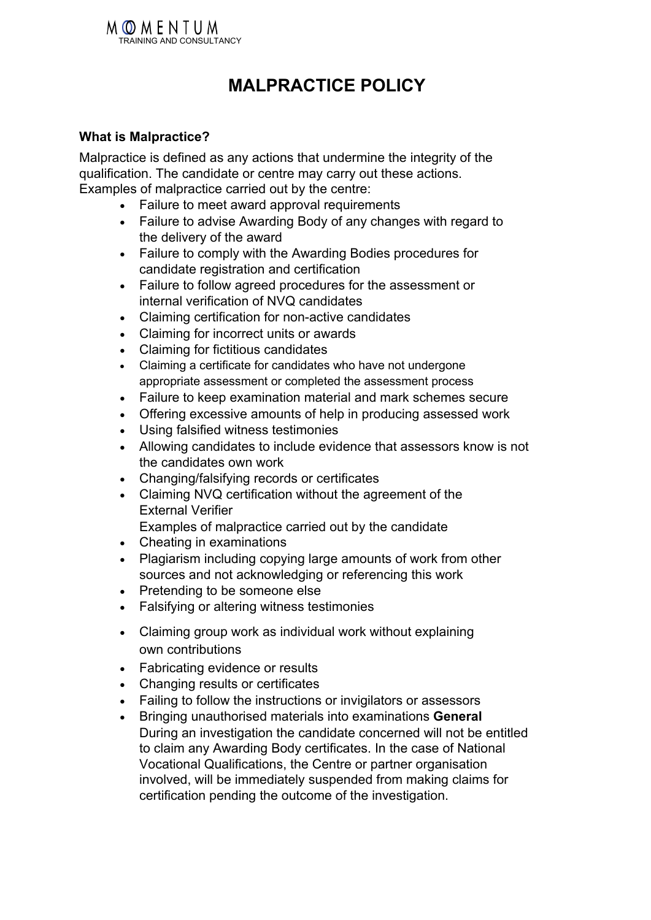

# **MALPRACTICE POLICY**

#### **What is Malpractice?**

Malpractice is defined as any actions that undermine the integrity of the qualification. The candidate or centre may carry out these actions. Examples of malpractice carried out by the centre:

- Failure to meet award approval requirements
- Failure to advise Awarding Body of any changes with regard to the delivery of the award
- Failure to comply with the Awarding Bodies procedures for candidate registration and certification
- Failure to follow agreed procedures for the assessment or internal verification of NVQ candidates
- Claiming certification for non-active candidates
- Claiming for incorrect units or awards
- Claiming for fictitious candidates
- Claiming a certificate for candidates who have not undergone appropriate assessment or completed the assessment process
- Failure to keep examination material and mark schemes secure
- Offering excessive amounts of help in producing assessed work
- Using falsified witness testimonies
- Allowing candidates to include evidence that assessors know is not the candidates own work
- Changing/falsifying records or certificates
- Claiming NVQ certification without the agreement of the External Verifier

Examples of malpractice carried out by the candidate

- Cheating in examinations
- Plagiarism including copying large amounts of work from other sources and not acknowledging or referencing this work
- Pretending to be someone else
- Falsifying or altering witness testimonies
- Claiming group work as individual work without explaining own contributions
- Fabricating evidence or results
- Changing results or certificates
- Failing to follow the instructions or invigilators or assessors
- Bringing unauthorised materials into examinations **General** During an investigation the candidate concerned will not be entitled to claim any Awarding Body certificates. In the case of National Vocational Qualifications, the Centre or partner organisation involved, will be immediately suspended from making claims for certification pending the outcome of the investigation.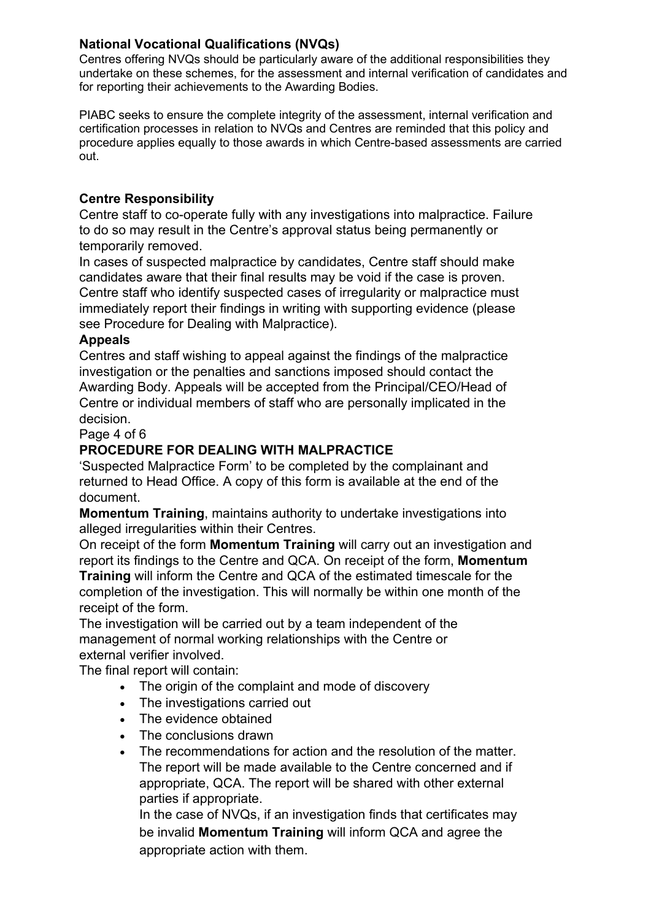#### **National Vocational Qualifications (NVQs)**

Centres offering NVQs should be particularly aware of the additional responsibilities they undertake on these schemes, for the assessment and internal verification of candidates and for reporting their achievements to the Awarding Bodies.

PIABC seeks to ensure the complete integrity of the assessment, internal verification and certification processes in relation to NVQs and Centres are reminded that this policy and procedure applies equally to those awards in which Centre-based assessments are carried out.

#### **Centre Responsibility**

Centre staff to co-operate fully with any investigations into malpractice. Failure to do so may result in the Centre's approval status being permanently or temporarily removed.

In cases of suspected malpractice by candidates, Centre staff should make candidates aware that their final results may be void if the case is proven. Centre staff who identify suspected cases of irregularity or malpractice must immediately report their findings in writing with supporting evidence (please see Procedure for Dealing with Malpractice).

#### **Appeals**

Centres and staff wishing to appeal against the findings of the malpractice investigation or the penalties and sanctions imposed should contact the Awarding Body. Appeals will be accepted from the Principal/CEO/Head of Centre or individual members of staff who are personally implicated in the decision.

Page 4 of 6

### **PROCEDURE FOR DEALING WITH MALPRACTICE**

'Suspected Malpractice Form' to be completed by the complainant and returned to Head Office. A copy of this form is available at the end of the document.

**Momentum Training**, maintains authority to undertake investigations into alleged irregularities within their Centres.

On receipt of the form **Momentum Training** will carry out an investigation and report its findings to the Centre and QCA. On receipt of the form, **Momentum Training** will inform the Centre and QCA of the estimated timescale for the completion of the investigation. This will normally be within one month of the receipt of the form.

The investigation will be carried out by a team independent of the management of normal working relationships with the Centre or external verifier involved.

The final report will contain:

- The origin of the complaint and mode of discovery
- The investigations carried out
- The evidence obtained
- The conclusions drawn
- The recommendations for action and the resolution of the matter. The report will be made available to the Centre concerned and if appropriate, QCA. The report will be shared with other external parties if appropriate.

In the case of NVQs, if an investigation finds that certificates may be invalid **Momentum Training** will inform QCA and agree the appropriate action with them.